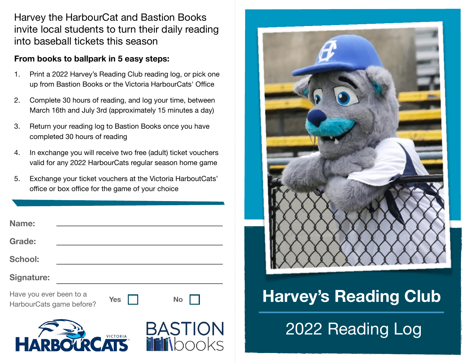Harvey the HarbourCat and Bastion Books invite local students to turn their daily reading into baseball tickets this season

## **From books to ballpark in 5 easy steps:**

- 1. Print a 2022 Harvey's Reading Club reading log, or pick one up from Bastion Books or the Victoria HarbourCats' Office
- 2. Complete 30 hours of reading, and log your time, between March 16th and July 3rd (approximately 15 minutes a day)
- 3. Return your reading log to Bastion Books once you have completed 30 hours of reading
- 4. In exchange you will receive two free (adult) ticket vouchers valid for any 2022 HarbourCats regular season home game
- 5. Exchange your ticket vouchers at the Victoria HarboutCats' office or box office for the game of your choice

| <b>Name:</b>                                        |            |           |
|-----------------------------------------------------|------------|-----------|
| <b>Grade:</b>                                       |            |           |
| <b>School:</b>                                      |            |           |
| <b>Signature:</b>                                   |            |           |
| Have you ever been to a<br>HarbourCats game before? | <b>Yes</b> | <b>No</b> |







## **Harvey's Reading Club**

2022 Reading Log